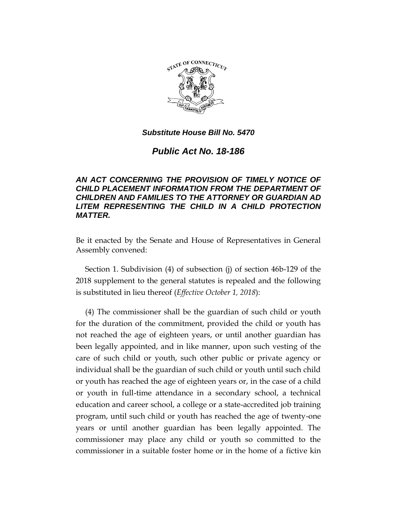

# *Public Act No. 18-186*

## *AN ACT CONCERNING THE PROVISION OF TIMELY NOTICE OF CHILD PLACEMENT INFORMATION FROM THE DEPARTMENT OF CHILDREN AND FAMILIES TO THE ATTORNEY OR GUARDIAN AD LITEM REPRESENTING THE CHILD IN A CHILD PROTECTION MATTER.*

Be it enacted by the Senate and House of Representatives in General Assembly convened:

Section 1. Subdivision (4) of subsection (j) of section 46b-129 of the 2018 supplement to the general statutes is repealed and the following is substituted in lieu thereof (*Effective October 1, 2018*):

(4) The commissioner shall be the guardian of such child or youth for the duration of the commitment, provided the child or youth has not reached the age of eighteen years, or until another guardian has been legally appointed, and in like manner, upon such vesting of the care of such child or youth, such other public or private agency or individual shall be the guardian of such child or youth until such child or youth has reached the age of eighteen years or, in the case of a child or youth in full-time attendance in a secondary school, a technical education and career school, a college or a state-accredited job training program, until such child or youth has reached the age of twenty-one years or until another guardian has been legally appointed. The commissioner may place any child or youth so committed to the commissioner in a suitable foster home or in the home of a fictive kin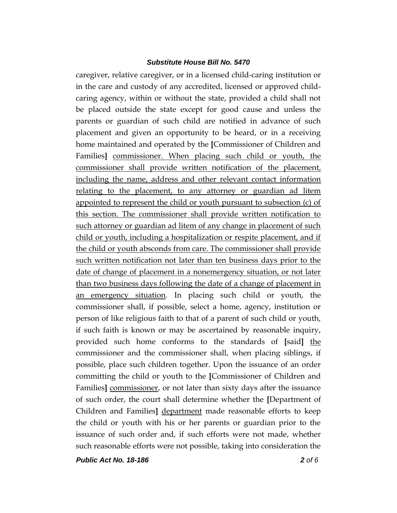caregiver, relative caregiver, or in a licensed child-caring institution or in the care and custody of any accredited, licensed or approved childcaring agency, within or without the state, provided a child shall not be placed outside the state except for good cause and unless the parents or guardian of such child are notified in advance of such placement and given an opportunity to be heard, or in a receiving home maintained and operated by the **[**Commissioner of Children and Families**]** commissioner. When placing such child or youth, the commissioner shall provide written notification of the placement, including the name, address and other relevant contact information relating to the placement, to any attorney or guardian ad litem appointed to represent the child or youth pursuant to subsection (c) of this section. The commissioner shall provide written notification to such attorney or guardian ad litem of any change in placement of such child or youth, including a hospitalization or respite placement, and if the child or youth absconds from care. The commissioner shall provide such written notification not later than ten business days prior to the date of change of placement in a nonemergency situation, or not later than two business days following the date of a change of placement in an emergency situation. In placing such child or youth, the commissioner shall, if possible, select a home, agency, institution or person of like religious faith to that of a parent of such child or youth, if such faith is known or may be ascertained by reasonable inquiry, provided such home conforms to the standards of **[**said**]** the commissioner and the commissioner shall, when placing siblings, if possible, place such children together. Upon the issuance of an order committing the child or youth to the **[**Commissioner of Children and Families**]** commissioner, or not later than sixty days after the issuance of such order, the court shall determine whether the **[**Department of Children and Families**]** department made reasonable efforts to keep the child or youth with his or her parents or guardian prior to the issuance of such order and, if such efforts were not made, whether such reasonable efforts were not possible, taking into consideration the

*Public Act No. 18-186 2 of 6*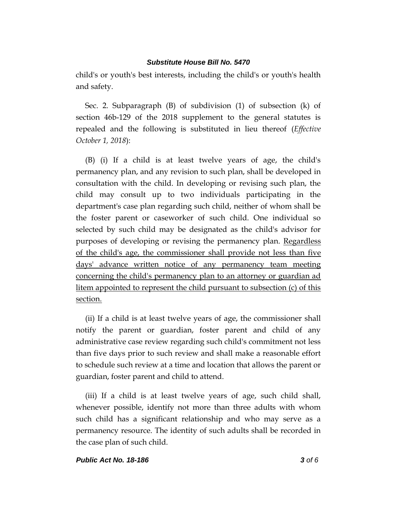child's or youth's best interests, including the child's or youth's health and safety.

Sec. 2. Subparagraph (B) of subdivision (1) of subsection (k) of section 46b-129 of the 2018 supplement to the general statutes is repealed and the following is substituted in lieu thereof (*Effective October 1, 2018*):

(B) (i) If a child is at least twelve years of age, the child's permanency plan, and any revision to such plan, shall be developed in consultation with the child. In developing or revising such plan, the child may consult up to two individuals participating in the department's case plan regarding such child, neither of whom shall be the foster parent or caseworker of such child. One individual so selected by such child may be designated as the child's advisor for purposes of developing or revising the permanency plan. Regardless of the child's age, the commissioner shall provide not less than five days' advance written notice of any permanency team meeting concerning the child's permanency plan to an attorney or guardian ad litem appointed to represent the child pursuant to subsection (c) of this section.

(ii) If a child is at least twelve years of age, the commissioner shall notify the parent or guardian, foster parent and child of any administrative case review regarding such child's commitment not less than five days prior to such review and shall make a reasonable effort to schedule such review at a time and location that allows the parent or guardian, foster parent and child to attend.

(iii) If a child is at least twelve years of age, such child shall, whenever possible, identify not more than three adults with whom such child has a significant relationship and who may serve as a permanency resource. The identity of such adults shall be recorded in the case plan of such child.

### *Public Act No. 18-186 3 of 6*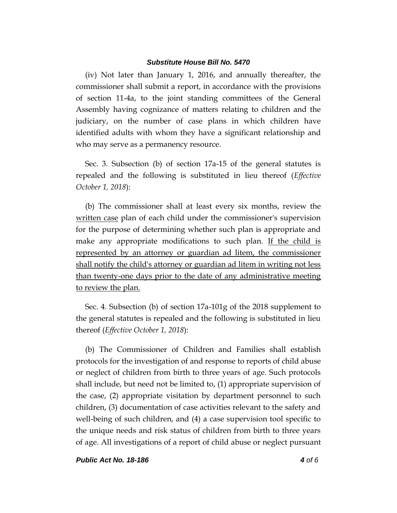(iv) Not later than January 1, 2016, and annually thereafter, the commissioner shall submit a report, in accordance with the provisions of section 11-4a, to the joint standing committees of the General Assembly having cognizance of matters relating to children and the judiciary, on the number of case plans in which children have identified adults with whom they have a significant relationship and who may serve as a permanency resource.

Sec. 3. Subsection (b) of section 17a-15 of the general statutes is repealed and the following is substituted in lieu thereof (*Effective October 1, 2018*):

(b) The commissioner shall at least every six months, review the written case plan of each child under the commissioner's supervision for the purpose of determining whether such plan is appropriate and make any appropriate modifications to such plan. If the child is represented by an attorney or guardian ad litem, the commissioner shall notify the child's attorney or guardian ad litem in writing not less than twenty-one days prior to the date of any administrative meeting to review the plan.

Sec. 4. Subsection (b) of section 17a-101g of the 2018 supplement to the general statutes is repealed and the following is substituted in lieu thereof (*Effective October 1, 2018*):

(b) The Commissioner of Children and Families shall establish protocols for the investigation of and response to reports of child abuse or neglect of children from birth to three years of age. Such protocols shall include, but need not be limited to, (1) appropriate supervision of the case, (2) appropriate visitation by department personnel to such children, (3) documentation of case activities relevant to the safety and well-being of such children, and (4) a case supervision tool specific to the unique needs and risk status of children from birth to three years of age. All investigations of a report of child abuse or neglect pursuant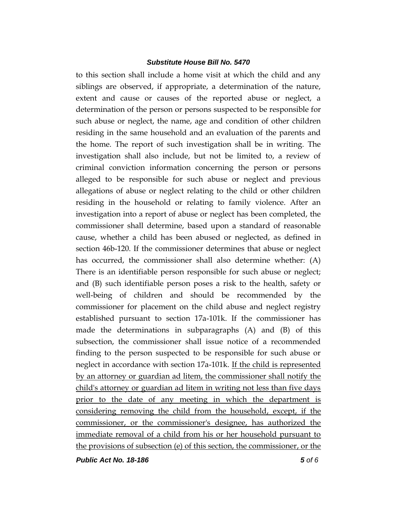to this section shall include a home visit at which the child and any siblings are observed, if appropriate, a determination of the nature, extent and cause or causes of the reported abuse or neglect, a determination of the person or persons suspected to be responsible for such abuse or neglect, the name, age and condition of other children residing in the same household and an evaluation of the parents and the home. The report of such investigation shall be in writing. The investigation shall also include, but not be limited to, a review of criminal conviction information concerning the person or persons alleged to be responsible for such abuse or neglect and previous allegations of abuse or neglect relating to the child or other children residing in the household or relating to family violence. After an investigation into a report of abuse or neglect has been completed, the commissioner shall determine, based upon a standard of reasonable cause, whether a child has been abused or neglected, as defined in section 46b-120. If the commissioner determines that abuse or neglect has occurred, the commissioner shall also determine whether: (A) There is an identifiable person responsible for such abuse or neglect; and (B) such identifiable person poses a risk to the health, safety or well-being of children and should be recommended by the commissioner for placement on the child abuse and neglect registry established pursuant to section 17a-101k. If the commissioner has made the determinations in subparagraphs (A) and (B) of this subsection, the commissioner shall issue notice of a recommended finding to the person suspected to be responsible for such abuse or neglect in accordance with section 17a-101k. If the child is represented by an attorney or guardian ad litem, the commissioner shall notify the child's attorney or guardian ad litem in writing not less than five days prior to the date of any meeting in which the department is considering removing the child from the household, except, if the commissioner, or the commissioner's designee, has authorized the immediate removal of a child from his or her household pursuant to the provisions of subsection (e) of this section, the commissioner, or the

*Public Act No. 18-186 5 of 6*